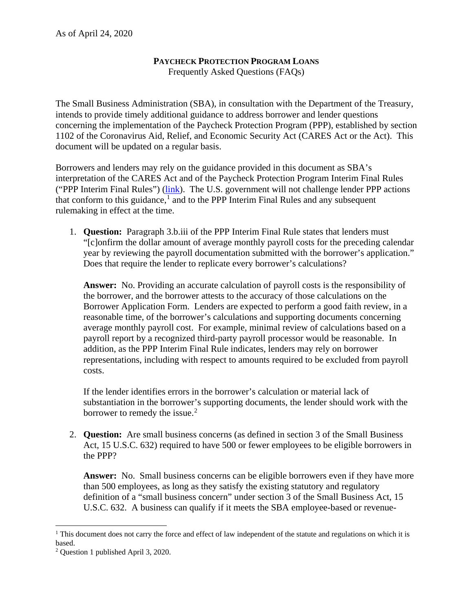## **PAYCHECK PROTECTION PROGRAM LOANS**

Frequently Asked Questions (FAQs)

The Small Business Administration (SBA), in consultation with the Department of the Treasury, intends to provide timely additional guidance to address borrower and lender questions concerning the implementation of the Paycheck Protection Program (PPP), established by section 1102 of the Coronavirus Aid, Relief, and Economic Security Act (CARES Act or the Act). This document will be updated on a regular basis.

Borrowers and lenders may rely on the guidance provided in this document as SBA's interpretation of the CARES Act and of the Paycheck Protection Program Interim Final Rules ("PPP Interim Final Rules") [\(link\)](https://home.treasury.gov/policy-issues/cares/assistance-for-small-businesses). The U.S. government will not challenge lender PPP actions that conform to this guidance,<sup>[1](#page-0-0)</sup> and to the PPP Interim Final Rules and any subsequent rulemaking in effect at the time.

1. **Question:** Paragraph 3.b.iii of the PPP Interim Final Rule states that lenders must "[c]onfirm the dollar amount of average monthly payroll costs for the preceding calendar year by reviewing the payroll documentation submitted with the borrower's application." Does that require the lender to replicate every borrower's calculations?

**Answer:** No. Providing an accurate calculation of payroll costs is the responsibility of the borrower, and the borrower attests to the accuracy of those calculations on the Borrower Application Form. Lenders are expected to perform a good faith review, in a reasonable time, of the borrower's calculations and supporting documents concerning average monthly payroll cost. For example, minimal review of calculations based on a payroll report by a recognized third-party payroll processor would be reasonable. In addition, as the PPP Interim Final Rule indicates, lenders may rely on borrower representations, including with respect to amounts required to be excluded from payroll costs.

If the lender identifies errors in the borrower's calculation or material lack of substantiation in the borrower's supporting documents, the lender should work with the borrower to remedy the issue. $2$ 

2. **Question:** Are small business concerns (as defined in section 3 of the Small Business Act, 15 U.S.C. 632) required to have 500 or fewer employees to be eligible borrowers in the PPP?

**Answer:** No. Small business concerns can be eligible borrowers even if they have more than 500 employees, as long as they satisfy the existing statutory and regulatory definition of a "small business concern" under section 3 of the Small Business Act, 15 U.S.C. 632. A business can qualify if it meets the SBA employee-based or revenue-

<span id="page-0-0"></span> $\overline{a}$  $1$ . This document does not carry the force and effect of law independent of the statute and regulations on which it is based.

<span id="page-0-1"></span><sup>2</sup> Question 1 published April 3, 2020.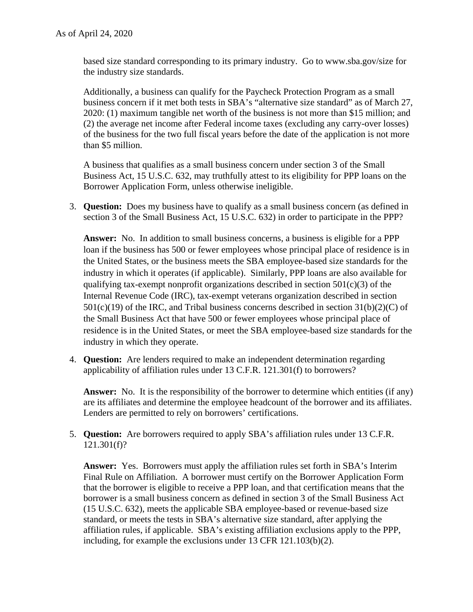based size standard corresponding to its primary industry. Go to www.sba.gov/size for the industry size standards.

Additionally, a business can qualify for the Paycheck Protection Program as a small business concern if it met both tests in SBA's "alternative size standard" as of March 27, 2020: (1) maximum tangible net worth of the business is not more than \$15 million; and (2) the average net income after Federal income taxes (excluding any carry-over losses) of the business for the two full fiscal years before the date of the application is not more than \$5 million.

A business that qualifies as a small business concern under section 3 of the Small Business Act, 15 U.S.C. 632, may truthfully attest to its eligibility for PPP loans on the Borrower Application Form, unless otherwise ineligible.

3. **Question:** Does my business have to qualify as a small business concern (as defined in section 3 of the Small Business Act, 15 U.S.C. 632) in order to participate in the PPP?

**Answer:** No. In addition to small business concerns, a business is eligible for a PPP loan if the business has 500 or fewer employees whose principal place of residence is in the United States, or the business meets the SBA employee-based size standards for the industry in which it operates (if applicable). Similarly, PPP loans are also available for qualifying tax-exempt nonprofit organizations described in section  $501(c)(3)$  of the Internal Revenue Code (IRC), tax-exempt veterans organization described in section  $501(c)(19)$  of the IRC, and Tribal business concerns described in section  $31(b)(2)(C)$  of the Small Business Act that have 500 or fewer employees whose principal place of residence is in the United States, or meet the SBA employee-based size standards for the industry in which they operate.

4. **Question:** Are lenders required to make an independent determination regarding applicability of affiliation rules under 13 C.F.R. 121.301(f) to borrowers?

**Answer:** No. It is the responsibility of the borrower to determine which entities (if any) are its affiliates and determine the employee headcount of the borrower and its affiliates. Lenders are permitted to rely on borrowers' certifications.

5. **Question:** Are borrowers required to apply SBA's affiliation rules under 13 C.F.R. 121.301(f)?

**Answer:** Yes. Borrowers must apply the affiliation rules set forth in SBA's Interim Final Rule on Affiliation. A borrower must certify on the Borrower Application Form that the borrower is eligible to receive a PPP loan, and that certification means that the borrower is a small business concern as defined in section 3 of the Small Business Act (15 U.S.C. 632), meets the applicable SBA employee-based or revenue-based size standard, or meets the tests in SBA's alternative size standard, after applying the affiliation rules, if applicable. SBA's existing affiliation exclusions apply to the PPP, including, for example the exclusions under 13 CFR 121.103(b)(2).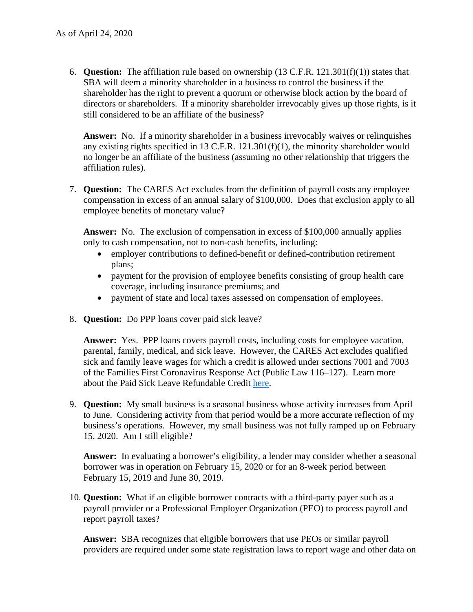6. **Question:** The affiliation rule based on ownership (13 C.F.R. 121.301(f)(1)) states that SBA will deem a minority shareholder in a business to control the business if the shareholder has the right to prevent a quorum or otherwise block action by the board of directors or shareholders. If a minority shareholder irrevocably gives up those rights, is it still considered to be an affiliate of the business?

**Answer:** No. If a minority shareholder in a business irrevocably waives or relinquishes any existing rights specified in 13 C.F.R. 121.301(f)(1), the minority shareholder would no longer be an affiliate of the business (assuming no other relationship that triggers the affiliation rules).

7. **Question:** The CARES Act excludes from the definition of payroll costs any employee compensation in excess of an annual salary of \$100,000. Does that exclusion apply to all employee benefits of monetary value?

**Answer:** No. The exclusion of compensation in excess of \$100,000 annually applies only to cash compensation, not to non-cash benefits, including:

- employer contributions to defined-benefit or defined-contribution retirement plans;
- payment for the provision of employee benefits consisting of group health care coverage, including insurance premiums; and
- payment of state and local taxes assessed on compensation of employees.
- 8. **Question:** Do PPP loans cover paid sick leave?

**Answer:** Yes. PPP loans covers payroll costs, including costs for employee vacation, parental, family, medical, and sick leave. However, the CARES Act excludes qualified sick and family leave wages for which a credit is allowed under sections 7001 and 7003 of the Families First Coronavirus Response Act (Public Law 116–127). Learn more about the Paid Sick Leave Refundable Credit [here.](https://www.irs.gov/newsroom/covid-19-related-tax-credits-for-required-paid-leave-provided-by-small-and-midsize-businesses-faqs)

9. **Question:** My small business is a seasonal business whose activity increases from April to June. Considering activity from that period would be a more accurate reflection of my business's operations. However, my small business was not fully ramped up on February 15, 2020. Am I still eligible?

**Answer:** In evaluating a borrower's eligibility, a lender may consider whether a seasonal borrower was in operation on February 15, 2020 or for an 8-week period between February 15, 2019 and June 30, 2019.

10. **Question:** What if an eligible borrower contracts with a third-party payer such as a payroll provider or a Professional Employer Organization (PEO) to process payroll and report payroll taxes?

**Answer:** SBA recognizes that eligible borrowers that use PEOs or similar payroll providers are required under some state registration laws to report wage and other data on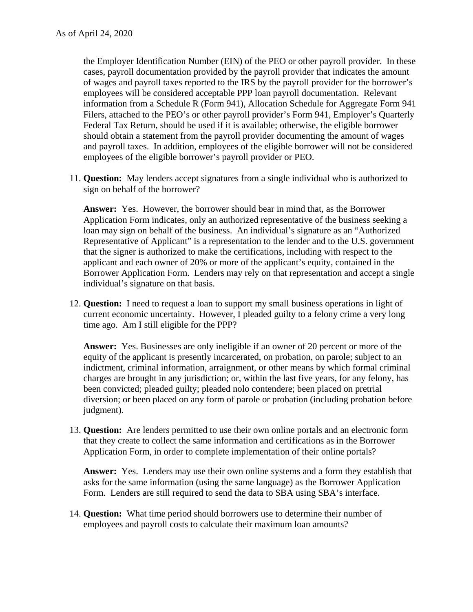the Employer Identification Number (EIN) of the PEO or other payroll provider. In these cases, payroll documentation provided by the payroll provider that indicates the amount of wages and payroll taxes reported to the IRS by the payroll provider for the borrower's employees will be considered acceptable PPP loan payroll documentation. Relevant information from a Schedule R (Form 941), Allocation Schedule for Aggregate Form 941 Filers, attached to the PEO's or other payroll provider's Form 941, Employer's Quarterly Federal Tax Return, should be used if it is available; otherwise, the eligible borrower should obtain a statement from the payroll provider documenting the amount of wages and payroll taxes. In addition, employees of the eligible borrower will not be considered employees of the eligible borrower's payroll provider or PEO.

11. **Question:** May lenders accept signatures from a single individual who is authorized to sign on behalf of the borrower?

**Answer:** Yes. However, the borrower should bear in mind that, as the Borrower Application Form indicates, only an authorized representative of the business seeking a loan may sign on behalf of the business. An individual's signature as an "Authorized Representative of Applicant" is a representation to the lender and to the U.S. government that the signer is authorized to make the certifications, including with respect to the applicant and each owner of 20% or more of the applicant's equity, contained in the Borrower Application Form. Lenders may rely on that representation and accept a single individual's signature on that basis.

12. **Question:** I need to request a loan to support my small business operations in light of current economic uncertainty. However, I pleaded guilty to a felony crime a very long time ago. Am I still eligible for the PPP?

**Answer:** Yes. Businesses are only ineligible if an owner of 20 percent or more of the equity of the applicant is presently incarcerated, on probation, on parole; subject to an indictment, criminal information, arraignment, or other means by which formal criminal charges are brought in any jurisdiction; or, within the last five years, for any felony, has been convicted; pleaded guilty; pleaded nolo contendere; been placed on pretrial diversion; or been placed on any form of parole or probation (including probation before judgment).

13. **Question:** Are lenders permitted to use their own online portals and an electronic form that they create to collect the same information and certifications as in the Borrower Application Form, in order to complete implementation of their online portals?

**Answer:** Yes. Lenders may use their own online systems and a form they establish that asks for the same information (using the same language) as the Borrower Application Form. Lenders are still required to send the data to SBA using SBA's interface.

14. **Question:** What time period should borrowers use to determine their number of employees and payroll costs to calculate their maximum loan amounts?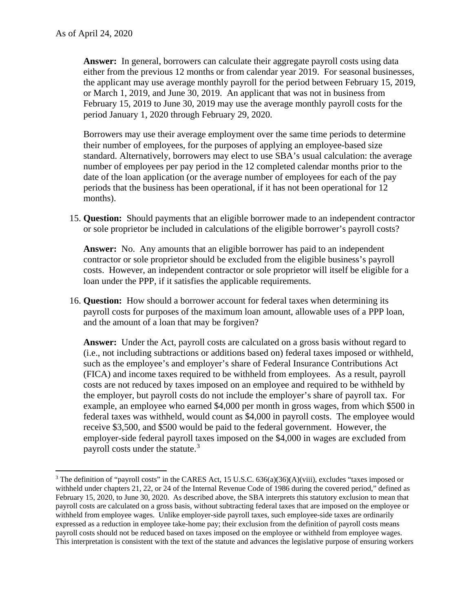$\overline{a}$ 

**Answer:** In general, borrowers can calculate their aggregate payroll costs using data either from the previous 12 months or from calendar year 2019. For seasonal businesses, the applicant may use average monthly payroll for the period between February 15, 2019, or March 1, 2019, and June 30, 2019. An applicant that was not in business from February 15, 2019 to June 30, 2019 may use the average monthly payroll costs for the period January 1, 2020 through February 29, 2020.

Borrowers may use their average employment over the same time periods to determine their number of employees, for the purposes of applying an employee-based size standard. Alternatively, borrowers may elect to use SBA's usual calculation: the average number of employees per pay period in the 12 completed calendar months prior to the date of the loan application (or the average number of employees for each of the pay periods that the business has been operational, if it has not been operational for 12 months).

15. **Question:** Should payments that an eligible borrower made to an independent contractor or sole proprietor be included in calculations of the eligible borrower's payroll costs?

**Answer:** No. Any amounts that an eligible borrower has paid to an independent contractor or sole proprietor should be excluded from the eligible business's payroll costs. However, an independent contractor or sole proprietor will itself be eligible for a loan under the PPP, if it satisfies the applicable requirements.

16. **Question:** How should a borrower account for federal taxes when determining its payroll costs for purposes of the maximum loan amount, allowable uses of a PPP loan, and the amount of a loan that may be forgiven?

**Answer:** Under the Act, payroll costs are calculated on a gross basis without regard to (i.e., not including subtractions or additions based on) federal taxes imposed or withheld, such as the employee's and employer's share of Federal Insurance Contributions Act (FICA) and income taxes required to be withheld from employees. As a result, payroll costs are not reduced by taxes imposed on an employee and required to be withheld by the employer, but payroll costs do not include the employer's share of payroll tax. For example, an employee who earned \$4,000 per month in gross wages, from which \$500 in federal taxes was withheld, would count as \$4,000 in payroll costs. The employee would receive \$3,500, and \$500 would be paid to the federal government. However, the employer-side federal payroll taxes imposed on the \$4,000 in wages are excluded from payroll costs under the statute.<sup>[3](#page-4-0)</sup>

<span id="page-4-0"></span><sup>&</sup>lt;sup>3</sup> The definition of "payroll costs" in the CARES Act, 15 U.S.C.  $636(a)(36)(A)(viii)$ , excludes "taxes imposed or withheld under chapters 21, 22, or 24 of the Internal Revenue Code of 1986 during the covered period," defined as February 15, 2020, to June 30, 2020. As described above, the SBA interprets this statutory exclusion to mean that payroll costs are calculated on a gross basis, without subtracting federal taxes that are imposed on the employee or withheld from employee wages. Unlike employer-side payroll taxes, such employee-side taxes are ordinarily expressed as a reduction in employee take-home pay; their exclusion from the definition of payroll costs means payroll costs should not be reduced based on taxes imposed on the employee or withheld from employee wages. This interpretation is consistent with the text of the statute and advances the legislative purpose of ensuring workers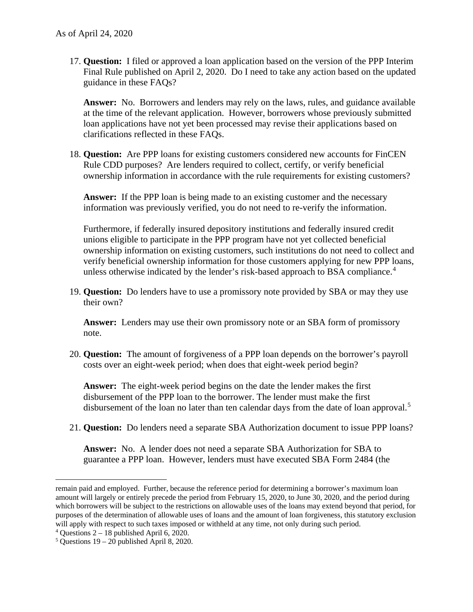17. **Question:** I filed or approved a loan application based on the version of the PPP Interim Final Rule published on April 2, 2020. Do I need to take any action based on the updated guidance in these FAQs?

**Answer:** No. Borrowers and lenders may rely on the laws, rules, and guidance available at the time of the relevant application. However, borrowers whose previously submitted loan applications have not yet been processed may revise their applications based on clarifications reflected in these FAQs.

18. **Question:** Are PPP loans for existing customers considered new accounts for FinCEN Rule CDD purposes? Are lenders required to collect, certify, or verify beneficial ownership information in accordance with the rule requirements for existing customers?

**Answer:** If the PPP loan is being made to an existing customer and the necessary information was previously verified, you do not need to re-verify the information.

Furthermore, if federally insured depository institutions and federally insured credit unions eligible to participate in the PPP program have not yet collected beneficial ownership information on existing customers, such institutions do not need to collect and verify beneficial ownership information for those customers applying for new PPP loans, unless otherwise indicated by the lender's risk-based approach to BSA compliance.<sup>[4](#page-5-0)</sup>

19. **Question:** Do lenders have to use a promissory note provided by SBA or may they use their own?

**Answer:** Lenders may use their own promissory note or an SBA form of promissory note.

20. **Question:** The amount of forgiveness of a PPP loan depends on the borrower's payroll costs over an eight-week period; when does that eight-week period begin?

**Answer:** The eight-week period begins on the date the lender makes the first disbursement of the PPP loan to the borrower. The lender must make the first disbursement of the loan no later than ten calendar days from the date of loan approval.<sup>[5](#page-5-1)</sup>

21. **Question:** Do lenders need a separate SBA Authorization document to issue PPP loans?

**Answer:** No. A lender does not need a separate SBA Authorization for SBA to guarantee a PPP loan. However, lenders must have executed SBA Form 2484 (the

 $\overline{\phantom{a}}$ 

remain paid and employed. Further, because the reference period for determining a borrower's maximum loan amount will largely or entirely precede the period from February 15, 2020, to June 30, 2020, and the period during which borrowers will be subject to the restrictions on allowable uses of the loans may extend beyond that period, for purposes of the determination of allowable uses of loans and the amount of loan forgiveness, this statutory exclusion will apply with respect to such taxes imposed or withheld at any time, not only during such period.<br><sup>4</sup> Ouestions 2 – 18 published April 6, 2020.

<span id="page-5-0"></span>

<span id="page-5-1"></span> $5$  Questions  $19 - 20$  published April 8, 2020.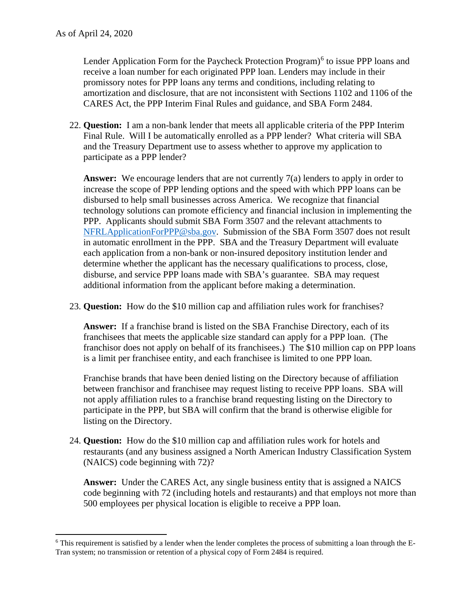$\overline{\phantom{a}}$ 

Lender Application Form for the Paycheck Protection Program)<sup>[6](#page-6-0)</sup> to issue PPP loans and receive a loan number for each originated PPP loan. Lenders may include in their promissory notes for PPP loans any terms and conditions, including relating to amortization and disclosure, that are not inconsistent with Sections 1102 and 1106 of the CARES Act, the PPP Interim Final Rules and guidance, and SBA Form 2484.

22. **Question:** I am a non-bank lender that meets all applicable criteria of the PPP Interim Final Rule. Will I be automatically enrolled as a PPP lender? What criteria will SBA and the Treasury Department use to assess whether to approve my application to participate as a PPP lender?

Answer: We encourage lenders that are not currently 7(a) lenders to apply in order to increase the scope of PPP lending options and the speed with which PPP loans can be disbursed to help small businesses across America. We recognize that financial technology solutions can promote efficiency and financial inclusion in implementing the PPP. Applicants should submit SBA Form 3507 and the relevant attachments to [NFRLApplicationForPPP@sba.gov.](mailto:NFRLApplicationForPPP@sba.gov) Submission of the SBA Form 3507 does not result in automatic enrollment in the PPP. SBA and the Treasury Department will evaluate each application from a non-bank or non-insured depository institution lender and determine whether the applicant has the necessary qualifications to process, close, disburse, and service PPP loans made with SBA's guarantee. SBA may request additional information from the applicant before making a determination.

23. **Question:** How do the \$10 million cap and affiliation rules work for franchises?

**Answer:** If a franchise brand is listed on the SBA Franchise Directory, each of its franchisees that meets the applicable size standard can apply for a PPP loan. (The franchisor does not apply on behalf of its franchisees.) The \$10 million cap on PPP loans is a limit per franchisee entity, and each franchisee is limited to one PPP loan.

Franchise brands that have been denied listing on the Directory because of affiliation between franchisor and franchisee may request listing to receive PPP loans. SBA will not apply affiliation rules to a franchise brand requesting listing on the Directory to participate in the PPP, but SBA will confirm that the brand is otherwise eligible for listing on the Directory.

24. **Question:** How do the \$10 million cap and affiliation rules work for hotels and restaurants (and any business assigned a North American Industry Classification System (NAICS) code beginning with 72)?

**Answer:** Under the CARES Act, any single business entity that is assigned a NAICS code beginning with 72 (including hotels and restaurants) and that employs not more than 500 employees per physical location is eligible to receive a PPP loan.

<span id="page-6-0"></span><sup>6</sup> This requirement is satisfied by a lender when the lender completes the process of submitting a loan through the E-Tran system; no transmission or retention of a physical copy of Form 2484 is required.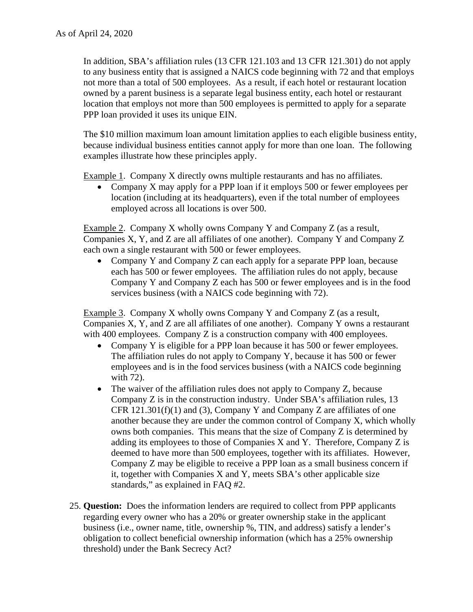In addition, SBA's affiliation rules (13 CFR 121.103 and 13 CFR 121.301) do not apply to any business entity that is assigned a NAICS code beginning with 72 and that employs not more than a total of 500 employees. As a result, if each hotel or restaurant location owned by a parent business is a separate legal business entity, each hotel or restaurant location that employs not more than 500 employees is permitted to apply for a separate PPP loan provided it uses its unique EIN.

The \$10 million maximum loan amount limitation applies to each eligible business entity, because individual business entities cannot apply for more than one loan. The following examples illustrate how these principles apply.

Example 1. Company X directly owns multiple restaurants and has no affiliates.

• Company X may apply for a PPP loan if it employs 500 or fewer employees per location (including at its headquarters), even if the total number of employees employed across all locations is over 500.

Example 2. Company X wholly owns Company Y and Company Z (as a result, Companies X, Y, and Z are all affiliates of one another). Company Y and Company Z each own a single restaurant with 500 or fewer employees.

• Company Y and Company Z can each apply for a separate PPP loan, because each has 500 or fewer employees. The affiliation rules do not apply, because Company Y and Company Z each has 500 or fewer employees and is in the food services business (with a NAICS code beginning with 72).

Example 3. Company X wholly owns Company Y and Company Z (as a result, Companies X, Y, and Z are all affiliates of one another). Company Y owns a restaurant with 400 employees. Company Z is a construction company with 400 employees.

- Company Y is eligible for a PPP loan because it has 500 or fewer employees. The affiliation rules do not apply to Company Y, because it has 500 or fewer employees and is in the food services business (with a NAICS code beginning with 72).
- The waiver of the affiliation rules does not apply to Company Z, because Company Z is in the construction industry. Under SBA's affiliation rules, 13 CFR 121.301(f)(1) and (3), Company Y and Company Z are affiliates of one another because they are under the common control of Company X, which wholly owns both companies. This means that the size of Company Z is determined by adding its employees to those of Companies X and Y. Therefore, Company Z is deemed to have more than 500 employees, together with its affiliates. However, Company Z may be eligible to receive a PPP loan as a small business concern if it, together with Companies X and Y, meets SBA's other applicable size standards," as explained in FAQ #2.
- 25. **Question:** Does the information lenders are required to collect from PPP applicants regarding every owner who has a 20% or greater ownership stake in the applicant business (i.e., owner name, title, ownership %, TIN, and address) satisfy a lender's obligation to collect beneficial ownership information (which has a 25% ownership threshold) under the Bank Secrecy Act?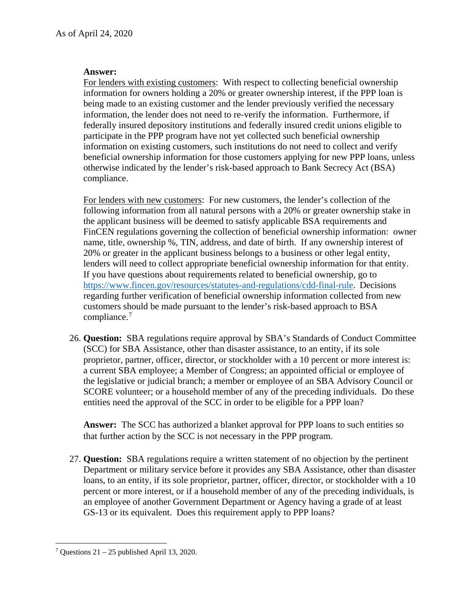## **Answer:**

For lenders with existing customers: With respect to collecting beneficial ownership information for owners holding a 20% or greater ownership interest, if the PPP loan is being made to an existing customer and the lender previously verified the necessary information, the lender does not need to re-verify the information. Furthermore, if federally insured depository institutions and federally insured credit unions eligible to participate in the PPP program have not yet collected such beneficial ownership information on existing customers, such institutions do not need to collect and verify beneficial ownership information for those customers applying for new PPP loans, unless otherwise indicated by the lender's risk-based approach to Bank Secrecy Act (BSA) compliance.

For lenders with new customers: For new customers, the lender's collection of the following information from all natural persons with a 20% or greater ownership stake in the applicant business will be deemed to satisfy applicable BSA requirements and FinCEN regulations governing the collection of beneficial ownership information: owner name, title, ownership %, TIN, address, and date of birth. If any ownership interest of 20% or greater in the applicant business belongs to a business or other legal entity, lenders will need to collect appropriate beneficial ownership information for that entity. If you have questions about requirements related to beneficial ownership, go to [https://www.fincen.gov/resources/statutes-and-regulations/cdd-final-rule.](https://www.fincen.gov/resources/statutes-and-regulations/cdd-final-rule) Decisions regarding further verification of beneficial ownership information collected from new customers should be made pursuant to the lender's risk-based approach to BSA compliance.<sup>[7](#page-8-0)</sup>

26. **Question:** SBA regulations require approval by SBA's Standards of Conduct Committee (SCC) for SBA Assistance, other than disaster assistance, to an entity, if its sole proprietor, partner, officer, director, or stockholder with a 10 percent or more interest is: a current SBA employee; a Member of Congress; an appointed official or employee of the legislative or judicial branch; a member or employee of an SBA Advisory Council or SCORE volunteer; or a household member of any of the preceding individuals. Do these entities need the approval of the SCC in order to be eligible for a PPP loan?

**Answer:** The SCC has authorized a blanket approval for PPP loans to such entities so that further action by the SCC is not necessary in the PPP program.

27. **Question:** SBA regulations require a written statement of no objection by the pertinent Department or military service before it provides any SBA Assistance, other than disaster loans, to an entity, if its sole proprietor, partner, officer, director, or stockholder with a 10 percent or more interest, or if a household member of any of the preceding individuals, is an employee of another Government Department or Agency having a grade of at least GS-13 or its equivalent. Does this requirement apply to PPP loans?

<span id="page-8-0"></span>l  $7$  Questions  $21 - 25$  published April 13, 2020.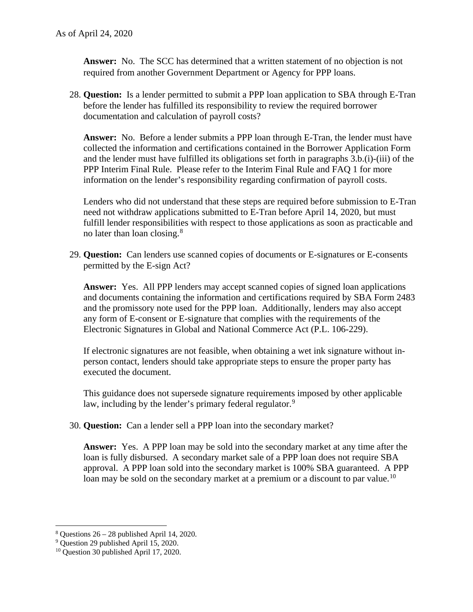**Answer:** No. The SCC has determined that a written statement of no objection is not required from another Government Department or Agency for PPP loans.

28. **Question:** Is a lender permitted to submit a PPP loan application to SBA through E-Tran before the lender has fulfilled its responsibility to review the required borrower documentation and calculation of payroll costs?

**Answer:** No. Before a lender submits a PPP loan through E-Tran, the lender must have collected the information and certifications contained in the Borrower Application Form and the lender must have fulfilled its obligations set forth in paragraphs 3.b.(i)-(iii) of the PPP Interim Final Rule. Please refer to the Interim Final Rule and FAQ 1 for more information on the lender's responsibility regarding confirmation of payroll costs.

Lenders who did not understand that these steps are required before submission to E-Tran need not withdraw applications submitted to E-Tran before April 14, 2020, but must fulfill lender responsibilities with respect to those applications as soon as practicable and no later than loan closing.<sup>[8](#page-9-0)</sup>

29. **Question:** Can lenders use scanned copies of documents or E-signatures or E-consents permitted by the E-sign Act?

**Answer:** Yes. All PPP lenders may accept scanned copies of signed loan applications and documents containing the information and certifications required by SBA Form 2483 and the promissory note used for the PPP loan. Additionally, lenders may also accept any form of E-consent or E-signature that complies with the requirements of the Electronic Signatures in Global and National Commerce Act (P.L. 106-229).

If electronic signatures are not feasible, when obtaining a wet ink signature without inperson contact, lenders should take appropriate steps to ensure the proper party has executed the document.

This guidance does not supersede signature requirements imposed by other applicable law, including by the lender's primary federal regulator.<sup>[9](#page-9-1)</sup>

30. **Question:** Can a lender sell a PPP loan into the secondary market?

**Answer:** Yes. A PPP loan may be sold into the secondary market at any time after the loan is fully disbursed. A secondary market sale of a PPP loan does not require SBA approval. A PPP loan sold into the secondary market is 100% SBA guaranteed. A PPP loan may be sold on the secondary market at a premium or a discount to par value.<sup>[10](#page-9-2)</sup>

 $\overline{a}$ 

<span id="page-9-0"></span> $8$  Questions  $26 - 28$  published April 14, 2020.

<span id="page-9-1"></span><sup>9</sup> Question 29 published April 15, 2020.

<span id="page-9-2"></span><sup>10</sup> Question 30 published April 17, 2020.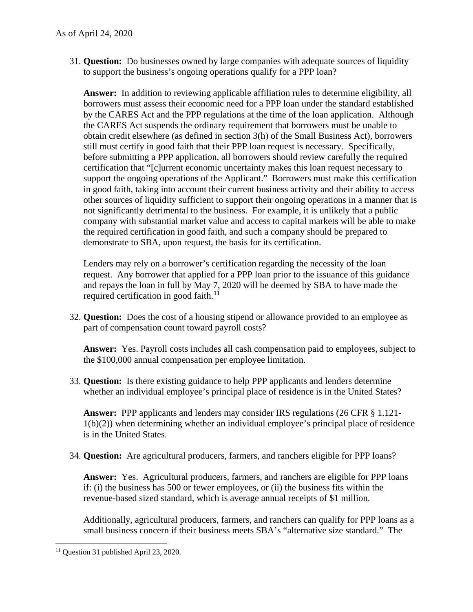31. **Question:** Do businesses owned by large companies with adequate sources of liquidity to support the business's ongoing operations qualify for a PPP loan?

**Answer:** In addition to reviewing applicable affiliation rules to determine eligibility, all borrowers must assess their economic need for a PPP loan under the standard established by the CARES Act and the PPP regulations at the time of the loan application. Although the CARES Act suspends the ordinary requirement that borrowers must be unable to obtain credit elsewhere (as defined in section 3(h) of the Small Business Act), borrowers still must certify in good faith that their PPP loan request is necessary. Specifically, before submitting a PPP application, all borrowers should review carefully the required certification that "[c]urrent economic uncertainty makes this loan request necessary to support the ongoing operations of the Applicant." Borrowers must make this certification in good faith, taking into account their current business activity and their ability to access other sources of liquidity sufficient to support their ongoing operations in a manner that is not significantly detrimental to the business. For example, it is unlikely that a public company with substantial market value and access to capital markets will be able to make the required certification in good faith, and such a company should be prepared to demonstrate to SBA, upon request, the basis for its certification.

Lenders may rely on a borrower's certification regarding the necessity of the loan request. Any borrower that applied for a PPP loan prior to the issuance of this guidance and repays the loan in full by May 7, 2020 will be deemed by SBA to have made the required certification in good faith. $11$ 

32. **Question:** Does the cost of a housing stipend or allowance provided to an employee as part of compensation count toward payroll costs?

**Answer:** Yes. Payroll costs includes all cash compensation paid to employees, subject to the \$100,000 annual compensation per employee limitation.

33. **Question:** Is there existing guidance to help PPP applicants and lenders determine whether an individual employee's principal place of residence is in the United States?

**Answer:** PPP applicants and lenders may consider IRS regulations (26 CFR § 1.121-  $1(b)(2)$ ) when determining whether an individual employee's principal place of residence is in the United States.

34. **Question:** Are agricultural producers, farmers, and ranchers eligible for PPP loans?

**Answer:** Yes.Agricultural producers, farmers, and ranchers are eligible for PPP loans if: (i) the business has 500 or fewer employees, or (ii) the business fits within the revenue-based sized standard, which is average annual receipts of \$1 million.

Additionally, agricultural producers, farmers, and ranchers can qualify for PPP loans as a small business concern if their business meets SBA's "alternative size standard." The

<span id="page-10-0"></span>l <sup>11</sup> Question 31 published April 23, 2020.